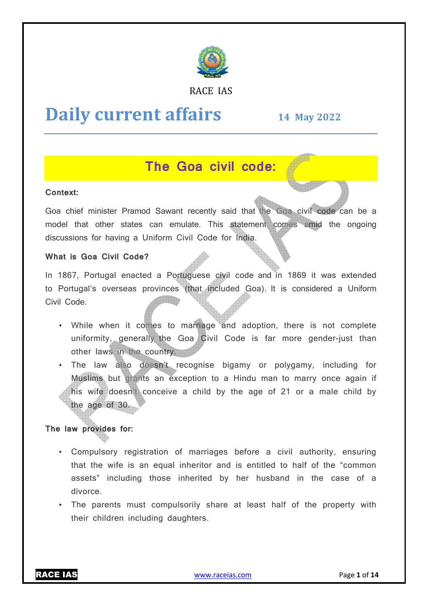

## RACE IAS

# **Daily current affairs**

# **14 May May 2022**

# **The Goa civil code:**

## **Context:**

Goa chief minister Pramod Sawant recently said that the Goa civil code can be a model that other states can emulate. This statement comes amid the ongoing discussions for having a Uniform Civil Code for India.

#### **What is Goa Civil Code?**

In 1867, Portugal enacted a Portuguese civil code and in 1869 it was extended to Portugal's overseas provinces (that included Goa). It is considered a Uniform Civil Code.

- While when it comes to marriage and adoption, there is not complete uniformity, generally the Goa Civil Code is far more gender gender-just than other laws in the country.
- The law also doesn't recognise bigamy or polygamy, including for Muslims but grants an exception to a Hindu man to marry once again if his wife doesn't conceive a child by the age of 21 or a male child by the age of 30.

## **The law provides for:**

- Compulsory registration of marriages before a civil authority, ensuring that the wife is an equal inheritor and is entitled to half of the "common assets" including those inherited by her husba husband in the case of a divorce. f 21<br>civil<br>d to l<br>pand
- The parents must compulsorily share at least half of the property with their children including daughters.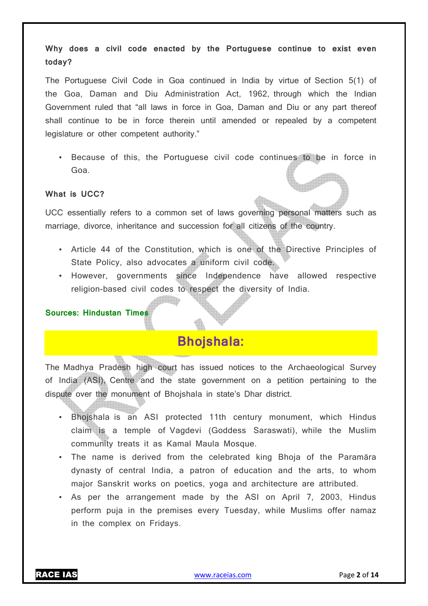**Why does a civil code enacted by the Portuguese continue to exist even today?** 

The Portuguese Civil Code in Goa continued in India by virtue of Section 5(1) of the Goa, Daman and Diu Administration Act, 1962, through which the Indian Government ruled that "all laws in force in Goa, Daman and Diu or any part thereof shall continue to be in force therein until amended or repealed by a competent legislature or other competent authority."

• Because of this, the Portuguese civil code continues to be in force in Goa.

## **What is UCC?**

UCC essentially refers to a common set of laws governing personal matters such as marriage, divorce, inheritance and succession for all citizens of the country.

- Article 44 of the Constitution, which is one of the Directive Principles of State Policy, also advocates a uniform civil code.
- However, governments since Independence have allowed respective religion-based civil codes to respect the diversity of India.

#### **Sources: Hindustan Times**

## **Bhojshala:**

The Madhya Pradesh high court has issued notices to the Archaeological Survey of India (ASI), Centre and the state government on a petition pertaining to the dispute over the monument of Bhojshala in state's Dhar district.

- Bhojshala is an ASI protected 11th century monument, which Hindus claim is a temple of Vagdevi (Goddess Saraswati), while the Muslim community treats it as Kamal Maula Mosque.
- The name is derived from the celebrated king Bhoja of the Paramāra dynasty of central India, a patron of education and the arts, to whom major Sanskrit works on poetics, yoga and architecture are attributed.
- As per the arrangement made by the ASI on April 7, 2003, Hindus perform puja in the premises every Tuesday, while Muslims offer namaz in the complex on Fridays.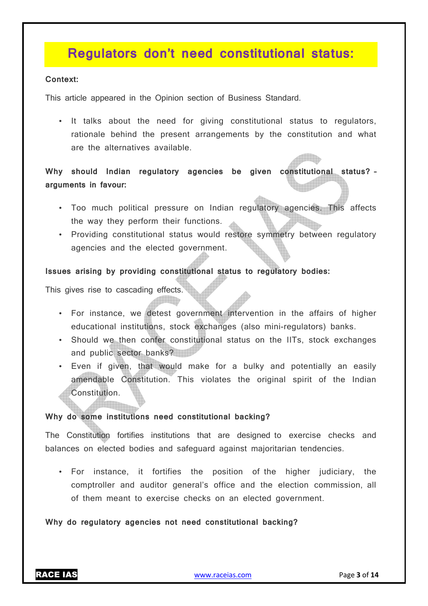# **Regulators don't need constitutional status:**

#### **Context:**

This article appeared in the Opinion section of Business Standard.

• It talks about the need for giving constitutional status to regulators, rationale behind the present arrangements by the constitution and what are the alternatives available.

**Why should Indian regulatory agencies be given constitutional status? – arguments in favour:** 

- Too much political pressure on Indian regulatory agencies. This affects the way they perform their functions.
- Providing constitutional status would restore symmetry between regulatory agencies and the elected government.

**Issues arising by providing constitutional status to regulatory bodies:** 

This gives rise to cascading effects.

- For instance, we detest government intervention in the affairs of higher educational institutions, stock exchanges (also mini-regulators) banks.
- Should we then confer constitutional status on the IITs, stock exchanges and public sector banks?
- Even if given, that would make for a bulky and potentially an easily amendable Constitution. This violates the original spirit of the Indian Constitution.

## **Why do some institutions need constitutional backing?**

The Constitution fortifies institutions that are designed to exercise checks and balances on elected bodies and safeguard against majoritarian tendencies.

• For instance, it fortifies the position of the higher judiciary, the comptroller and auditor general's office and the election commission, all of them meant to exercise checks on an elected government.

## **Why do regulatory agencies not need constitutional backing?**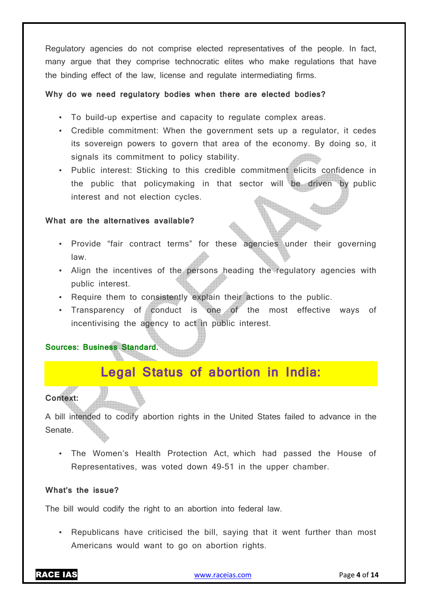Regulatory agencies do not comprise elected representatives of the people. In fact, many argue that they comprise technocratic elites who make regulations that have the binding effect of the law, license and regulate intermediating firms.

#### **Why do we need regulatory bodies when there are elected bodies?**

- To build-up expertise and capacity to regulate complex areas.
- Credible commitment: When the government sets up a regulator, it cedes its sovereign powers to govern that area of the economy. By doing so, it signals its commitment to policy stability.
- Public interest: Sticking to this credible commitment elicits confidence in the public that policymaking in that sector will be driven by public interest and not election cycles.

#### **What are the alternatives available?**

- Provide "fair contract terms" for these agencies under their governing law.
- Align the incentives of the persons heading the regulatory agencies with public interest.
- Require them to consistently explain their actions to the public.
- Transparency of conduct is one of the most effective ways of incentivising the agency to act in public interest.

## **Sources: Business Standard.**

# **Legal Status of abortion in India:**

## **Context:**

A bill intended to codify abortion rights in the United States failed to advance in the Senate.

• The Women's Health Protection Act, which had passed the House of Representatives, was voted down 49-51 in the upper chamber.

## **What's the issue?**

The bill would codify the right to an abortion into federal law.

• Republicans have criticised the bill, saying that it went further than most Americans would want to go on abortion rights.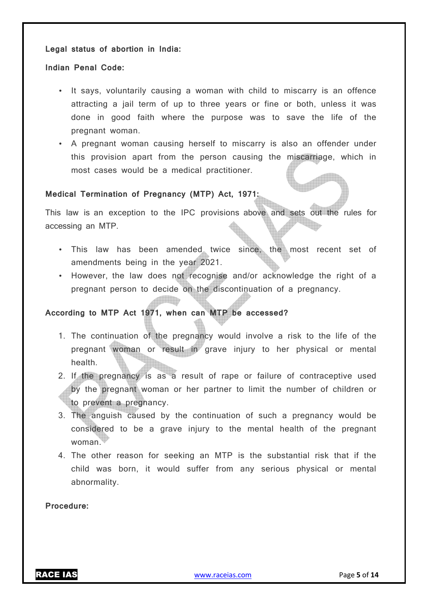#### **Legal status of abortion in India:**

#### **Indian Penal Code:**

- It says, voluntarily causing a woman with child to miscarry is an offence attracting a jail term of up to three years or fine or both, unless it was done in good faith where the purpose was to save the life of the pregnant woman.
- A pregnant woman causing herself to miscarry is also an offender under this provision apart from the person causing the miscarriage, which in most cases would be a medical practitioner.

## **Medical Termination of Pregnancy (MTP) Act, 1971:**

This law is an exception to the IPC provisions above and sets out the rules for accessing an MTP.

- This law has been amended twice since, the most recent set of amendments being in the year 2021.
- However, the law does not recognise and/or acknowledge the right of a pregnant person to decide on the discontinuation of a pregnancy.

## **According to MTP Act 1971, when can MTP be accessed?**

- 1. The continuation of the pregnancy would involve a risk to the life of the pregnant woman or result in grave injury to her physical or mental health.
- 2. If the pregnancy is as a result of rape or failure of contraceptive used by the pregnant woman or her partner to limit the number of children or to prevent a pregnancy.
- 3. The anguish caused by the continuation of such a pregnancy would be considered to be a grave injury to the mental health of the pregnant woman.
- 4. The other reason for seeking an MTP is the substantial risk that if the child was born, it would suffer from any serious physical or mental abnormality.

**Procedure:**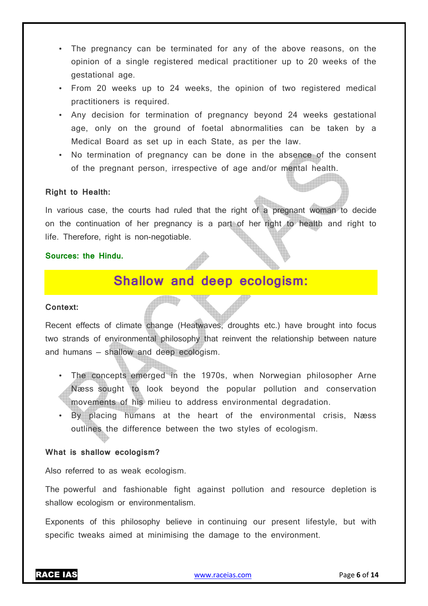- The pregnancy can be terminated for any of the above reasons, on the opinion of a single registered medical practitioner up to 20 weeks of the gestational age.
- From 20 weeks up to 24 weeks, the opinion of two registered medical practitioners is required.
- Any decision for termination of pregnancy beyond 24 weeks gestational age, only on the ground of foetal abnormalities can be taken by a Medical Board as set up in each State, as per the law.
- No termination of pregnancy can be done in the absence of the consent of the pregnant person, irrespective of age and/or mental health.

## **Right to Health:**

In various case, the courts had ruled that the right of a pregnant woman to decide on the continuation of her pregnancy is a part of her right to health and right to life. Therefore, right is non-negotiable.

## **Sources: the Hindu.**

# **Shallow and deep ecologism:**

#### **Context:**

Recent effects of climate change (Heatwaves, droughts etc.) have brought into focus two strands of environmental philosophy that reinvent the relationship between nature and humans — shallow and deep ecologism.

- The concepts emerged in the 1970s, when Norwegian philosopher Arne Næss sought to look beyond the popular pollution and conservation movements of his milieu to address environmental degradation.
- By placing humans at the heart of the environmental crisis, Næss outlines the difference between the two styles of ecologism.

## **What is shallow ecologism?**

Also referred to as weak ecologism.

The powerful and fashionable fight against pollution and resource depletion is shallow ecologism or environmentalism.

Exponents of this philosophy believe in continuing our present lifestyle, but with specific tweaks aimed at minimising the damage to the environment.

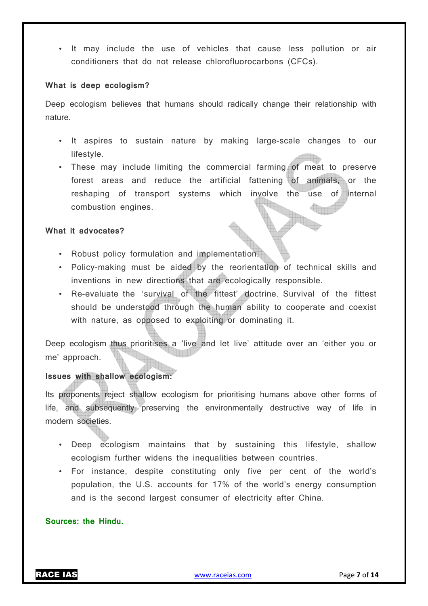• It may include the use of vehicles that cause less pollution or air conditioners that do not release chlorofluorocarbons (CFCs).

#### **What is deep ecologism?**

Deep ecologism believes that humans should radically change their relationship with nature.

- It aspires to sustain nature by making large-scale changes to our lifestyle.
- These may include limiting the commercial farming of meat to preserve forest areas and reduce the artificial fattening of animals, or the reshaping of transport systems which involve the use of internal combustion engines.

#### **What it advocates?**

- Robust policy formulation and implementation.
- Policy-making must be aided by the reorientation of technical skills and inventions in new directions that are ecologically responsible.
- Re-evaluate the 'survival of the fittest' doctrine. Survival of the fittest should be understood through the human ability to cooperate and coexist with nature, as opposed to exploiting or dominating it.

Deep ecologism thus prioritises a 'live and let live' attitude over an 'either you or me' approach.

## **Issues with shallow ecologism:**

Its proponents reject shallow ecologism for prioritising humans above other forms of life, and subsequently preserving the environmentally destructive way of life in modern societies.

- Deep ecologism maintains that by sustaining this lifestyle, shallow ecologism further widens the inequalities between countries.
- For instance, despite constituting only five per cent of the world's population, the U.S. accounts for 17% of the world's energy consumption and is the second largest consumer of electricity after China.

## **Sources: the Hindu.**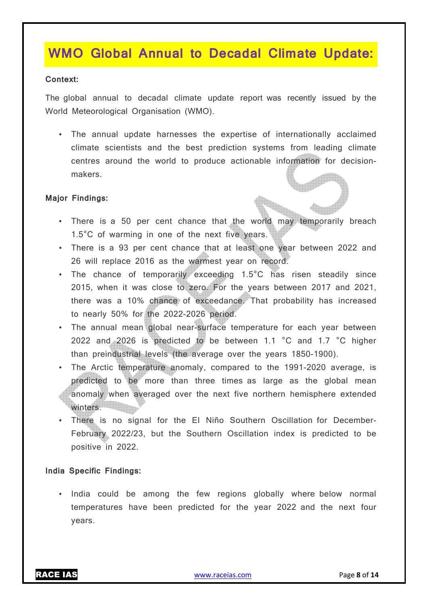# **WMO Global Annual to Decadal Climate Update:**

#### **Context:**

The global annual to decadal climate update report was recently issued by the World Meteorological Organisation (WMO).

• The annual update harnesses the expertise of internationally acclaimed climate scientists and the best prediction systems from leading climate centres around the world to produce actionable information for decisionmakers.

## **Major Findings:**

- There is a 50 per cent chance that the world may temporarily breach 1.5°C of warming in one of the next five years.
- There is a 93 per cent chance that at least one year between 2022 and 26 will replace 2016 as the warmest year on record.
- The chance of temporarily exceeding 1.5°C has risen steadily since 2015, when it was close to zero. For the years between 2017 and 2021, there was a 10% chance of exceedance. That probability has increased to nearly 50% for the 2022-2026 period.
- The annual mean global near-surface temperature for each year between 2022 and 2026 is predicted to be between 1.1 °C and 1.7 °C higher than preindustrial levels (the average over the years 1850-1900).
- The Arctic temperature anomaly, compared to the 1991-2020 average, is predicted to be more than three times as large as the global mean anomaly when averaged over the next five northern hemisphere extended winters.
- There is no signal for the El Niño Southern Oscillation for December-February 2022/23, but the Southern Oscillation index is predicted to be positive in 2022.

## **India Specific Findings:**

• India could be among the few regions globally where below normal temperatures have been predicted for the year 2022 and the next four years.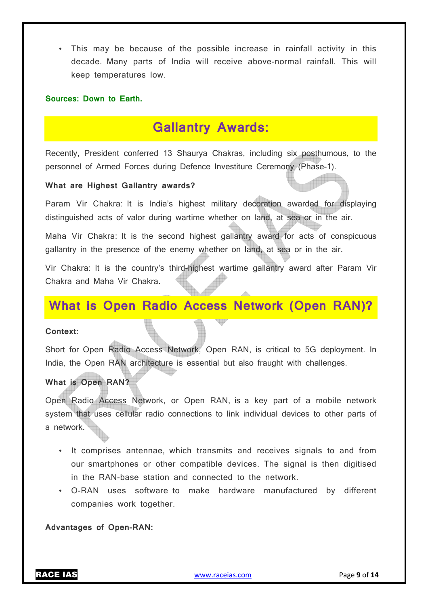• This may be because of the possible increase in rainfall activity in this decade. Many parts of India will receive above-normal rainfall. This will keep temperatures low.

#### **Sources: Down to Earth.**

## **Gallantry Awards:**

Recently, President conferred 13 Shaurya Chakras, including six posthumous, to the personnel of Armed Forces during Defence Investiture Ceremony (Phase-1).

#### **What are Highest Gallantry awards?**

Param Vir Chakra: It is India's highest military decoration awarded for displaying distinguished acts of valor during wartime whether on land, at sea or in the air.

Maha Vir Chakra: It is the second highest gallantry award for acts of conspicuous gallantry in the presence of the enemy whether on land, at sea or in the air.

Vir Chakra: It is the country's third-highest wartime gallantry award after Param Vir Chakra and Maha Vir Chakra.

# **What is Open Radio Access Network (Open RAN)?**

#### **Context:**

Short for Open Radio Access Network, Open RAN, is critical to 5G deployment. In India, the Open RAN architecture is essential but also fraught with challenges.

## **What is Open RAN?**

Open Radio Access Network, or Open RAN, is a key part of a mobile network system that uses cellular radio connections to link individual devices to other parts of a network.

- It comprises antennae, which transmits and receives signals to and from our smartphones or other compatible devices. The signal is then digitised in the RAN-base station and connected to the network.
- O-RAN uses software to make hardware manufactured by different companies work together.

**Advantages of Open-RAN:**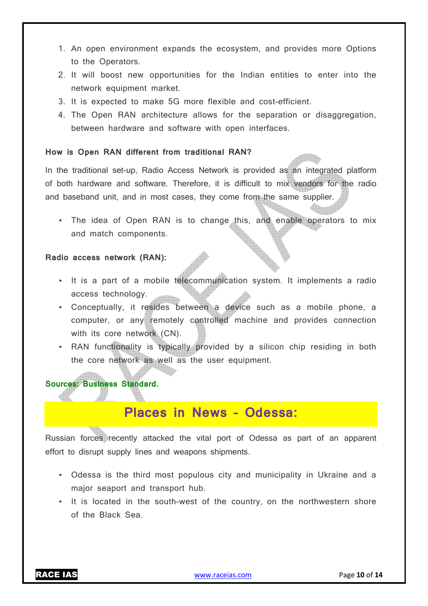- 1. An open environment expands the ecosystem, and provides more Options to the Operators.
- 2. It will boost new opportunities for the Indian entities to enter into the network equipment market.
- 3. It is expected to make 5G more flexible and cost-efficient.
- 4. The Open RAN architecture allows for the separation or disaggregation, between hardware and software with open interfaces.

#### **How is Open RAN different from traditional RAN?**

In the traditional set-up, Radio Access Network is provided as an integrated platform of both hardware and software. Therefore, it is difficult to mix vendors for the radio and baseband unit, and in most cases, they come from the same supplier.

• The idea of Open RAN is to change this, and enable operators to mix and match components.

#### **Radio access network (RAN):**

- It is a part of a mobile telecommunication system. It implements a radio access technology.
- Conceptually, it resides between a device such as a mobile phone, a computer, or any remotely controlled machine and provides connection with its core network (CN).
- RAN functionality is typically provided by a silicon chip residing in both the core network as well as the user equipment.

## **Sources: Business Standard.**

# **Places in News – Odessa:**

Russian forces recently attacked the vital port of Odessa as part of an apparent effort to disrupt supply lines and weapons shipments.

- Odessa is the third most populous city and municipality in Ukraine and a major seaport and transport hub.
- It is located in the south-west of the country, on the northwestern shore of the Black Sea.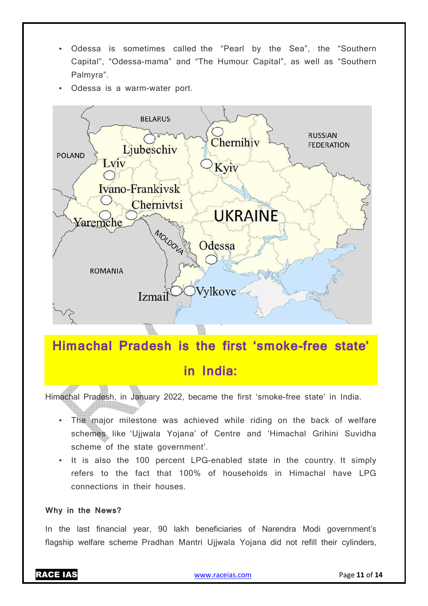- Odessa is sometimes called the "Pearl by the Sea", the "Southern Capital", "Odessa-mama" and "The Humour Capital", as well as "Southern Palmyra".
- Odessa is a warm-water port.



# **Himachal Pradesh is the first 'smoke-free state' in India:**

Himachal Pradesh, in January 2022, became the first 'smoke-free state' in India.

- The major milestone was achieved while riding on the back of welfare schemes like 'Ujjwala Yojana' of Centre and 'Himachal Grihini Suvidha scheme of the state government'.
- It is also the 100 percent LPG-enabled state in the country. It simply refers to the fact that 100% of households in Himachal have LPG connections in their houses.

#### **Why in the News?**

In the last financial year, 90 lakh beneficiaries of Narendra Modi government's flagship welfare scheme Pradhan Mantri Ujjwala Yojana did not refill their cylinders,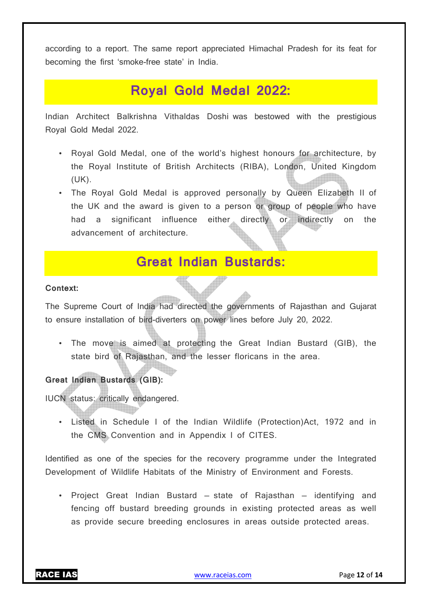according to a report. The same report appreciated Himachal Pradesh for its feat for becoming the first 'smoke-free state' in India.

# **Royal Gold Medal 2022:**

Indian Architect Balkrishna Vithaldas Doshi was bestowed with the prestigious Royal Gold Medal 2022.

- Royal Gold Medal, one of the world's highest honours for architecture, by the Royal Institute of British Architects (RIBA), London, United Kingdom (UK).
- The Royal Gold Medal is approved personally by Queen Elizabeth II of the UK and the award is given to a person or group of people who have had a significant influence either directly or indirectly on the advancement of architecture.

# **Great Indian Bustards:**

## **Context:**

The Supreme Court of India had directed the governments of Rajasthan and Gujarat to ensure installation of bird-diverters on power lines before July 20, 2022.

• The move is aimed at protecting the Great Indian Bustard (GIB), the state bird of Rajasthan, and the lesser floricans in the area.

## **Great Indian Bustards (GIB):**

IUCN status: critically endangered.

• Listed in Schedule I of the Indian Wildlife (Protection)Act, 1972 and in the CMS Convention and in Appendix I of CITES.

Identified as one of the species for the recovery programme under the Integrated Development of Wildlife Habitats of the Ministry of Environment and Forests.

• Project Great Indian Bustard — state of Rajasthan — identifying and fencing off bustard breeding grounds in existing protected areas as well as provide secure breeding enclosures in areas outside protected areas.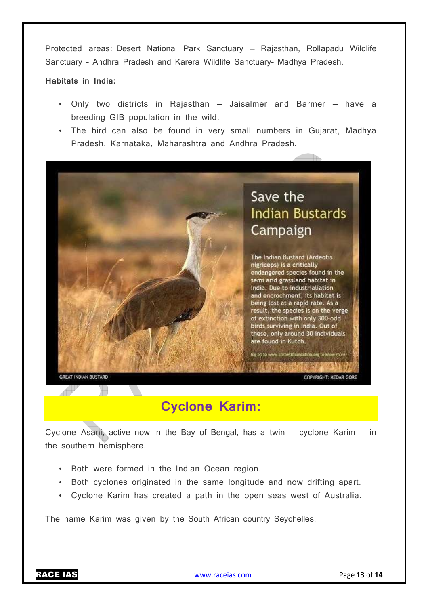Protected areas: Desert National Park Sanctuary — Rajasthan, Rollapadu Wildlife Sanctuary – Andhra Pradesh and Karera Wildlife Sanctuary– Madhya Pradesh.

#### **Habitats in India:**

- Only two districts in Rajasthan Jaisalmer and Barmer have a breeding GIB population in the wild.
- The bird can also be found in very small numbers in Gujarat, Madhya Pradesh, Karnataka, Maharashtra and Andhra Pradesh.



# **Cyclone Karim:**

Cyclone Asani, active now in the Bay of Bengal, has a twin  $-$  cyclone Karim  $-$  in the southern hemisphere.

- Both were formed in the Indian Ocean region.
- Both cyclones originated in the same longitude and now drifting apart.
- Cyclone Karim has created a path in the open seas west of Australia.

The name Karim was given by the South African country Seychelles.